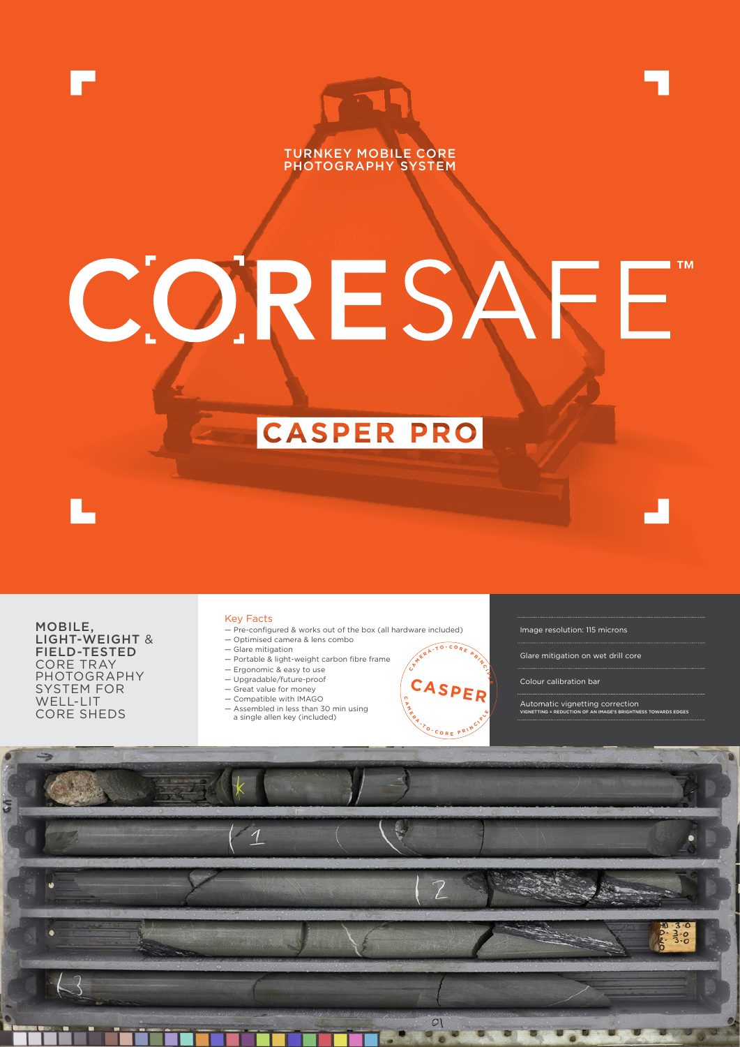



**CASPER PRO**

MOBILE, LIGHT-WEIGHT & FIELD-TESTED CORE TRAY PHOTOGRAPHY SYSTEM FOR WELL-LIT CORE SHEDS

## Key Facts

- Pre-configured & works out of the box (all hardware included)
- Optimised camera & lens combo — Glare mitigation
- Portable & light-weight carbon fibre frame
- Ergonomic & easy to use
- Upgradable/future-proof
- Great value for money
- Compatible with IMAGO
- Assembled in less than 30 min using
- a single allen key (included)



- Glare mitigation on wet drill core
- Colour calibration bar
- Automatic vignetting correction VIGNETTING = REDUCTION OF AN IMAGE'S BRIGHTNESS TOWARDS EDGES



**C A M E R A**

**C**

**<sup>A</sup> <sup>M</sup> <sup>E</sup> <sup>R</sup> <sup>A</sup> - <sup>T</sup> <sup>O</sup> - <sup>C</sup> <sup>O</sup> <sup>R</sup> <sup>E</sup> <sup>P</sup> <sup>R</sup> <sup>I</sup> <sup>N</sup> <sup>C</sup> <sup>I</sup>**

CASPE<sub>l</sub>

**P L**